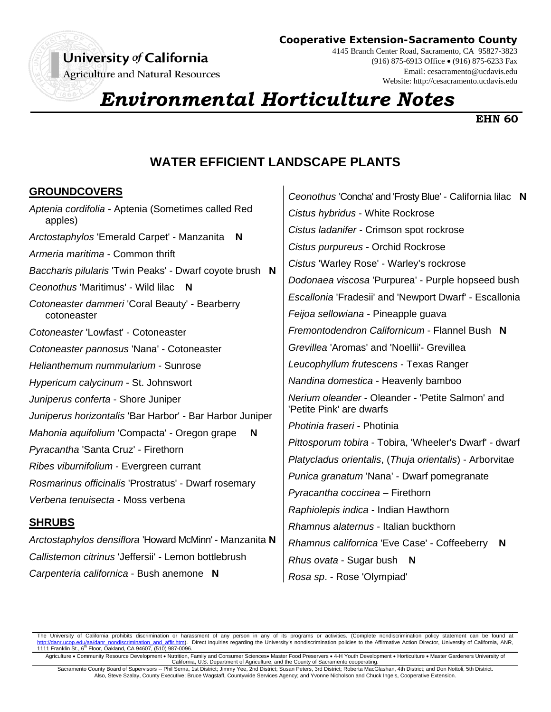# University of California

Agriculture and Natural Resources

**Cooperative Extension-Sacramento County**

4145 Branch Center Road, Sacramento, CA 95827-3823 (916) 875-6913 Office (916) 875-6233 Fax Email: cesacramento@ucdavis.edu Website: http://cesacramento.ucdavis.edu

# *Environmental Horticulture Notes*

#### **EHN 60**

## **WATER EFFICIENT LANDSCAPE PLANTS**

 $\overline{1}$ 

#### **GROUNDCOVERS**

| Aptenia cordifolia - Aptenia (Sometimes called Red<br>apples) |  |
|---------------------------------------------------------------|--|
| Arctostaphylos 'Emerald Carpet' - Manzanita<br>N              |  |
| Armeria maritima - Common thrift                              |  |
| Baccharis pilularis 'Twin Peaks' - Dwarf coyote brush N       |  |
| Ceonothus 'Maritimus' - Wild lilac N                          |  |
| Cotoneaster dammeri 'Coral Beauty' - Bearberry<br>cotoneaster |  |
| Cotoneaster 'Lowfast' - Cotoneaster                           |  |
| Cotoneaster pannosus 'Nana' - Cotoneaster                     |  |
| Helianthemum nummularium - Sunrose                            |  |
| Hypericum calycinum - St. Johnswort                           |  |
| Juniperus conferta - Shore Juniper                            |  |
| Juniperus horizontalis 'Bar Harbor' - Bar Harbor Juniper      |  |
| Mahonia aquifolium 'Compacta' - Oregon grape<br>N             |  |
| Pyracantha 'Santa Cruz' - Firethorn                           |  |
| Ribes viburnifolium - Evergreen currant                       |  |
| Rosmarinus officinalis 'Prostratus' - Dwarf rosemary          |  |
| Verbena tenuisecta - Moss verbena                             |  |
|                                                               |  |

#### **SHRUBS**

*Arctostaphylos densiflora* 'Howard McMinn' - Manzanita **N** *Callistemon citrinus* 'Jeffersii' - Lemon bottlebrush *Carpenteria californica* - Bush anemone **N**

| Ceonothus 'Concha' and 'Frosty Blue' - California lilac N                    |
|------------------------------------------------------------------------------|
| Cistus hybridus - White Rockrose                                             |
| Cistus ladanifer - Crimson spot rockrose                                     |
| Cistus purpureus - Orchid Rockrose                                           |
| Cistus 'Warley Rose' - Warley's rockrose                                     |
| Dodonaea viscosa 'Purpurea' - Purple hopseed bush                            |
| Escallonia 'Fradesii' and 'Newport Dwarf' - Escallonia                       |
| Feijoa sellowiana - Pineapple guava                                          |
| Fremontodendron Californicum - Flannel Bush N                                |
| Grevillea 'Aromas' and 'Noellii'- Grevillea                                  |
| Leucophyllum frutescens - Texas Ranger                                       |
| Nandina domestica - Heavenly bamboo                                          |
| Nerium oleander - Oleander - 'Petite Salmon' and<br>'Petite Pink' are dwarfs |
| Photinia fraseri - Photinia                                                  |
| Pittosporum tobira - Tobira, 'Wheeler's Dwarf' - dwarf                       |
| Platycladus orientalis, (Thuja orientalis) - Arborvitae                      |
| Punica granatum 'Nana' - Dwarf pomegranate                                   |
| Pyracantha coccinea - Firethorn                                              |
| Raphiolepis indica - Indian Hawthorn                                         |
| Rhamnus alaternus - Italian buckthorn                                        |
| Rhamnus californica 'Eve Case' - Coffeeberry<br>N                            |
| <i>Rhus ovata</i> - Sugar bush <b>N</b>                                      |
| Rosa sp. - Rose 'Olympiad'                                                   |

The University of California prohibits discrimination or harassment of any person in any of its programs or activities. (Complete nondiscrimination policy statement can be found at ha/danr\_nondiscrimination\_and\_affir.htm). Direct inquiries regarding the University's nondiscrimination policies to the Affirmative Action Director, University of California, ANR, 1111 Franklin St., 6<sup>th</sup> Floor, Oakland, CA 94607, (510) 987-0096.

Agriculture • Community Resource Development • Nutrition, Family and Consumer Sciences• Master Food Preservers • 4-H Youth Development • Horticulture • Master Gardeners University of<br>California, U.S. Department of Agricul

Sacramento County Board of Supervisors -- Phil Serna, 1st District; Jimmy Yee, 2nd District; Susan Peters, 3rd District; Roberta MacGlashan, 4th District; and Don Nottoli, 5th District. Also, Steve Szalay, County Executive; Bruce Wagstaff, Countywide Services Agency; and Yvonne Nicholson and Chuck Ingels, Cooperative Extension.